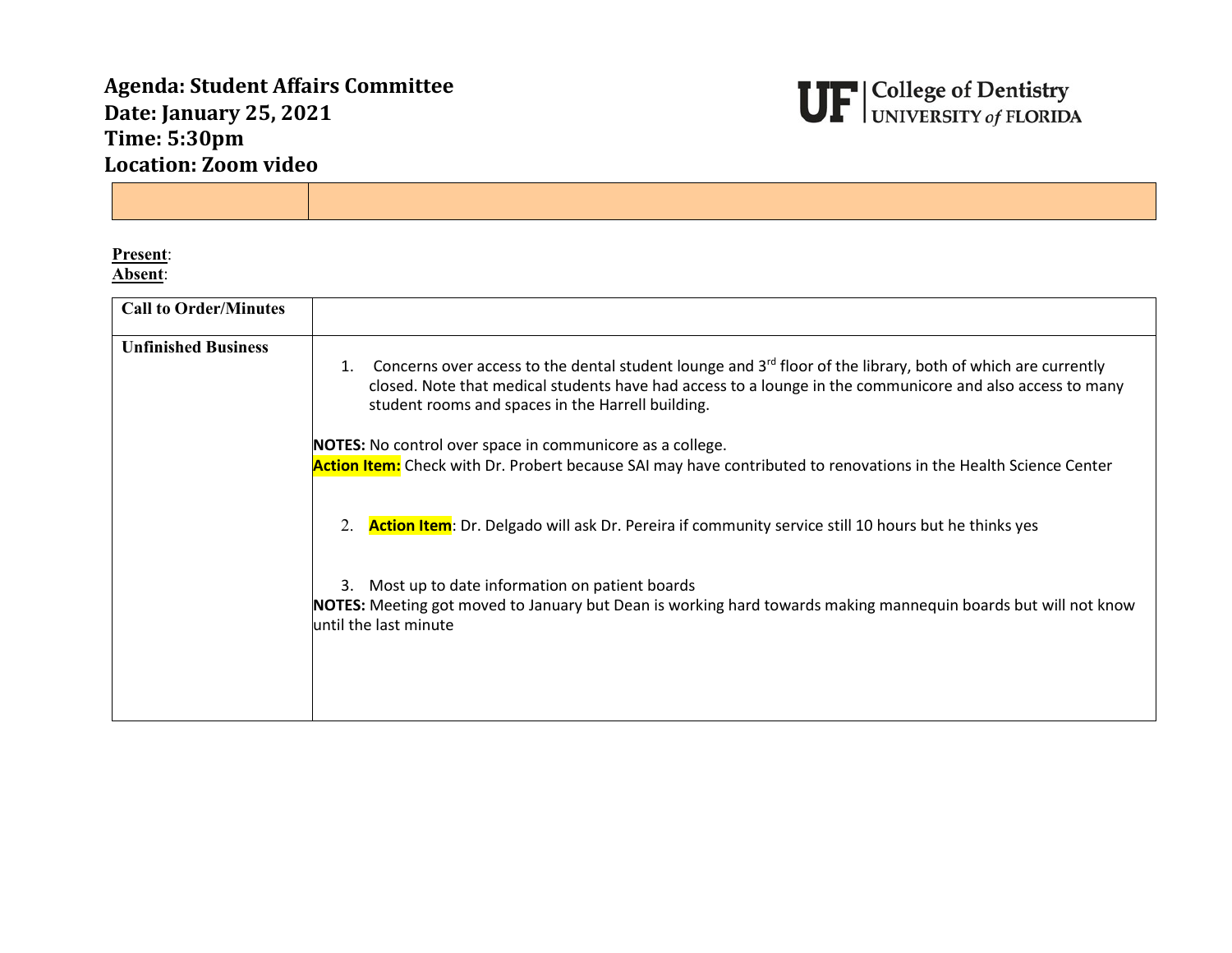## **Agenda: Student Affairs Committee Date: January 25, 2021 Time: 5:30pm Location: Zoom video**



**Present**: **Absent**:

| <b>Call to Order/Minutes</b> |                                                                                                                                                                                                                                                                                                 |
|------------------------------|-------------------------------------------------------------------------------------------------------------------------------------------------------------------------------------------------------------------------------------------------------------------------------------------------|
|                              |                                                                                                                                                                                                                                                                                                 |
|                              |                                                                                                                                                                                                                                                                                                 |
| <b>Unfinished Business</b>   |                                                                                                                                                                                                                                                                                                 |
|                              | Concerns over access to the dental student lounge and 3 <sup>rd</sup> floor of the library, both of which are currently<br>1.<br>closed. Note that medical students have had access to a lounge in the communicore and also access to many<br>student rooms and spaces in the Harrell building. |
|                              | NOTES: No control over space in communicore as a college.                                                                                                                                                                                                                                       |
|                              | Action Item: Check with Dr. Probert because SAI may have contributed to renovations in the Health Science Center                                                                                                                                                                                |
|                              | 2.<br>Action Item: Dr. Delgado will ask Dr. Pereira if community service still 10 hours but he thinks yes                                                                                                                                                                                       |
|                              | Most up to date information on patient boards<br>3.                                                                                                                                                                                                                                             |
|                              | NOTES: Meeting got moved to January but Dean is working hard towards making mannequin boards but will not know<br>until the last minute                                                                                                                                                         |
|                              |                                                                                                                                                                                                                                                                                                 |
|                              |                                                                                                                                                                                                                                                                                                 |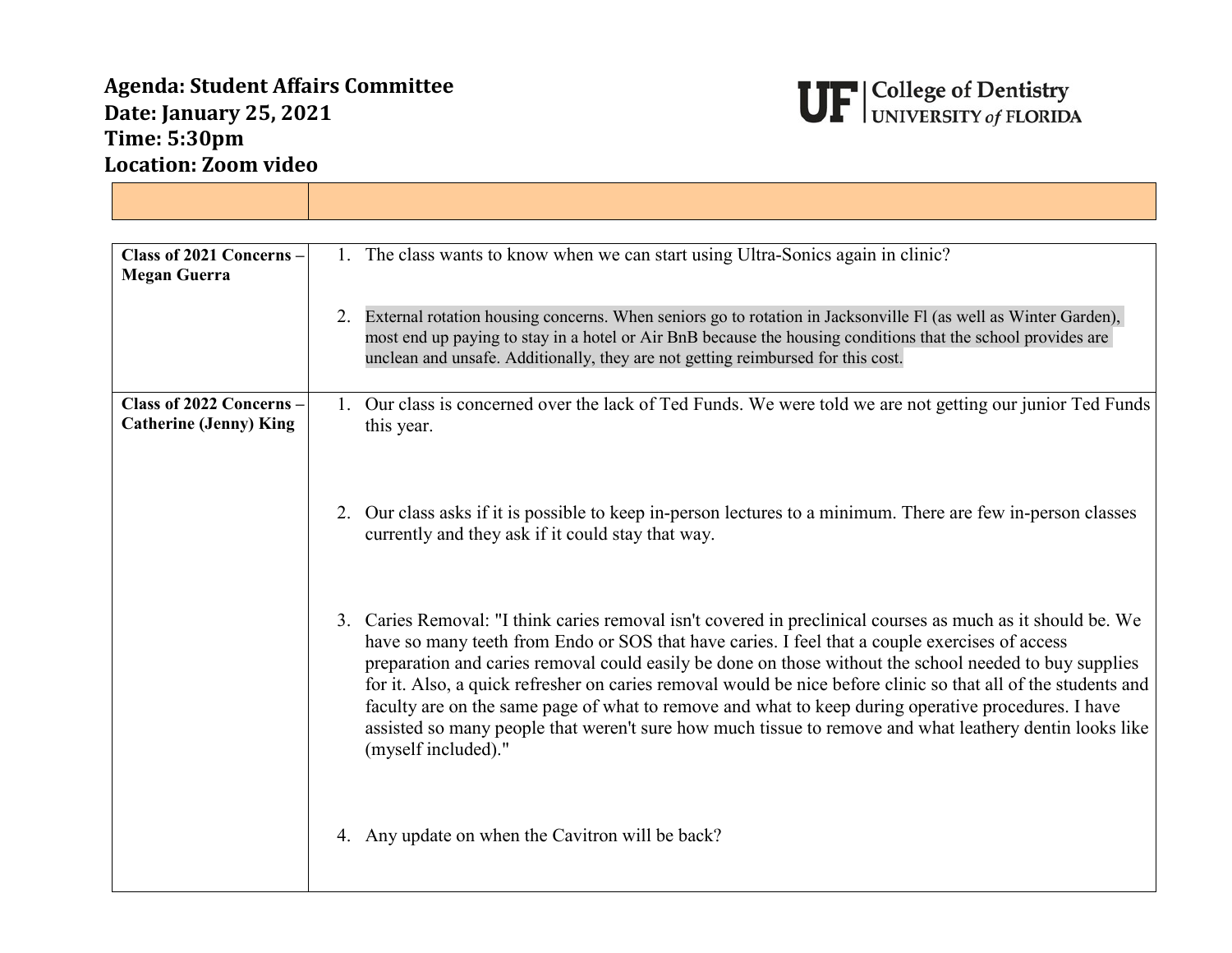## **Agenda: Student Affairs Committee Date: January 25, 2021 Time: 5:30pm Location: Zoom video**



| Class of 2021 Concerns -<br><b>Megan Guerra</b>           | 1. The class wants to know when we can start using Ultra-Sonics again in clinic?                                                                                                                                                                                                                                                                                                                                                                                                                                                                                                                                                                                                  |
|-----------------------------------------------------------|-----------------------------------------------------------------------------------------------------------------------------------------------------------------------------------------------------------------------------------------------------------------------------------------------------------------------------------------------------------------------------------------------------------------------------------------------------------------------------------------------------------------------------------------------------------------------------------------------------------------------------------------------------------------------------------|
|                                                           | External rotation housing concerns. When seniors go to rotation in Jacksonville Fl (as well as Winter Garden),<br>most end up paying to stay in a hotel or Air BnB because the housing conditions that the school provides are<br>unclean and unsafe. Additionally, they are not getting reimbursed for this cost.                                                                                                                                                                                                                                                                                                                                                                |
| Class of 2022 Concerns -<br><b>Catherine (Jenny) King</b> | 1. Our class is concerned over the lack of Ted Funds. We were told we are not getting our junior Ted Funds<br>this year.                                                                                                                                                                                                                                                                                                                                                                                                                                                                                                                                                          |
|                                                           | 2. Our class asks if it is possible to keep in-person lectures to a minimum. There are few in-person classes<br>currently and they ask if it could stay that way.                                                                                                                                                                                                                                                                                                                                                                                                                                                                                                                 |
|                                                           | 3. Caries Removal: "I think caries removal isn't covered in preclinical courses as much as it should be. We<br>have so many teeth from Endo or SOS that have caries. I feel that a couple exercises of access<br>preparation and caries removal could easily be done on those without the school needed to buy supplies<br>for it. Also, a quick refresher on caries removal would be nice before clinic so that all of the students and<br>faculty are on the same page of what to remove and what to keep during operative procedures. I have<br>assisted so many people that weren't sure how much tissue to remove and what leathery dentin looks like<br>(myself included)." |
|                                                           | 4. Any update on when the Cavitron will be back?                                                                                                                                                                                                                                                                                                                                                                                                                                                                                                                                                                                                                                  |